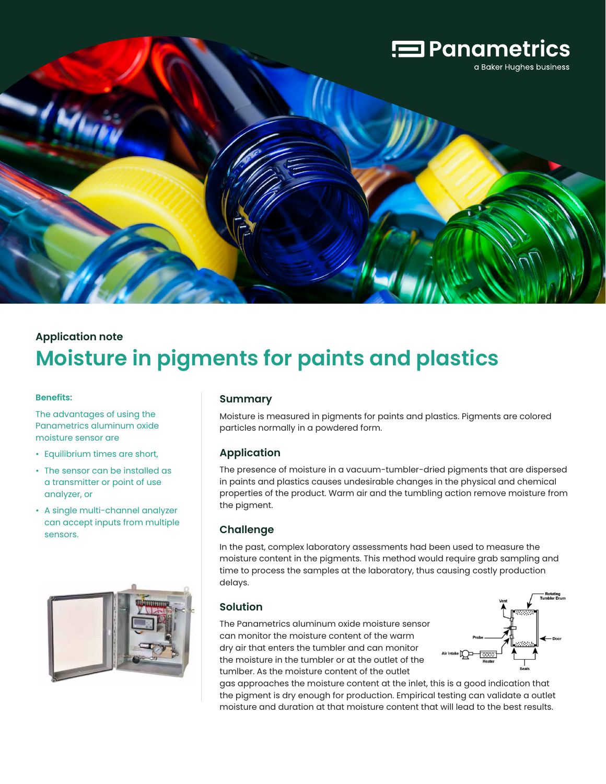

# **Application note Moisture in pigments for paints and plastics**

#### **Benefits:**

The advantages of using the Panametrics aluminum oxide moisture sensor are

- Equilibrium times are short,
- The sensor can be installed as a transmitter or point of use analyzer, or
- A single multi-channel analyzer can accept inputs from multiple sensors.



#### **Summary**

Moisture is measured in pigments for paints and plastics. Pigments are colored particles normally in a powdered form.

#### **Application**

The presence of moisture in a vacuum-tumbler-dried pigments that are dispersed in paints and plastics causes undesirable changes in the physical and chemical properties of the product. Warm air and the tumbling action remove moisture from the pigment.

### **Challenge**

In the past, complex laboratory assessments had been used to measure the moisture content in the pigments. This method would require grab sampling and time to process the samples at the laboratory, thus causing costly production delays.

### **Solution**

The Panametrics aluminum oxide moisture sensor can monitor the moisture content of the warm dry air that enters the tumbler and can monitor the moisture in the tumbler or at the outlet of the tumlber. As the moisture content of the outlet



gas approaches the moisture content at the inlet, this is a good indication that the pigment is dry enough for production. Empirical testing can validate a outlet moisture and duration at that moisture content that will lead to the best results.